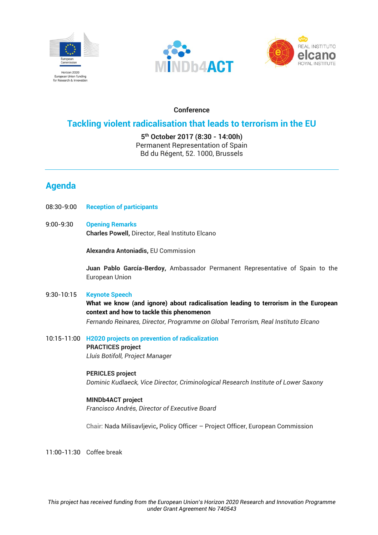





## **Conference**

## **Tackling violent radicalisation that leads to terrorism in the EU**

**5th October 2017 (8:30 - 14:00h)** Permanent Representation of Spain Bd du Régent, 52. 1000, Brussels

# **Agenda**

- 08:30-9:00 **Reception of participants**
- 9:00-9:30 **Opening Remarks Charles Powell,** Director, Real Instituto Elcano

**Alexandra Antoniadis,** EU Commission

**Juan Pablo García-Berdoy,** Ambassador Permanent Representative of Spain to the European Union

## 9:30-10:15 **Keynote Speech**

**What we know (and ignore) about radicalisation leading to terrorism in the European context and how to tackle this phenomenon**

*Fernando Reinares, Director, Programme on Global Terrorism, Real Instituto Elcano* 

10:15-11:00 **H2020 projects on prevention of radicalization**

**PRACTICES project** *Lluís Botifoll, Project Manager*

## **PERICLES project**

*Dominic Kudlaeck, Vice Director, Criminological Research Institute of Lower Saxony*

## **MINDb4ACT project**

*Francisco Andrés, Director of Executive Board*

**Chair:** Nada Milisavljevic**,** Policy Officer – Project Officer, European Commission

11:00-11:30 Coffee break